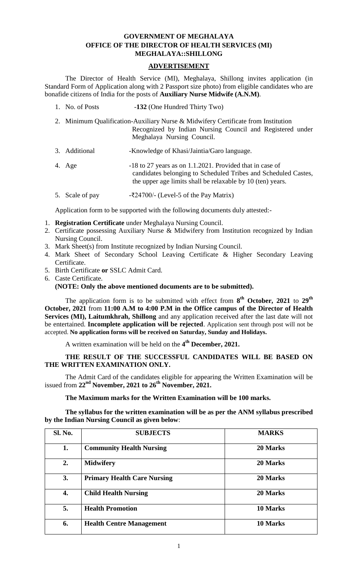### **GOVERNMENT OF MEGHALAYA OFFICE OF THE DIRECTOR OF HEALTH SERVICES (MI) MEGHALAYA::SHILLONG**

### **ADVERTISEMENT**

The Director of Health Service (MI), Meghalaya, Shillong invites application (in Standard Form of Application along with 2 Passport size photo) from eligible candidates who are bonafide citizens of India for the posts of **Auxiliary Nurse Midwife (A.N.M)**.

- 1. No. of Posts -**132** (One Hundred Thirty Two)
- 2. Minimum Qualification-Auxiliary Nurse & Midwifery Certificate from Institution Recognized by Indian Nursing Council and Registered under Meghalaya Nursing Council.
- 3. Additional -Knowledge of Khasi/Jaintia/Garo language.
- 4. Age -18 to 27 years as on 1.1.2021. Provided that in case of candidates belonging to Scheduled Tribes and Scheduled Castes, the upper age limits shall be relaxable by 10 (ten) years.
- 5. Scale of pay  $-524700/-$  (Level-5 of the Pay Matrix)

Application form to be supported with the following documents duly attested:-

- 1. **Registration Certificate** under Meghalaya Nursing Council.
- 2. Certificate possessing Auxiliary Nurse & Midwifery from Institution recognized by Indian Nursing Council.
- 3. Mark Sheet(s) from Institute recognized by Indian Nursing Council.
- 4. Mark Sheet of Secondary School Leaving Certificate & Higher Secondary Leaving Certificate.
- 5. Birth Certificate **or** SSLC Admit Card.
- 6. Caste Certificate.  **(NOTE: Only the above mentioned documents are to be submitted).**

The application form is to be submitted with effect from **8 th October, 2021** to **29th October, 2021** from **11:00 A.M to 4:00 P.M in the Office campus of the Director of Health Services (MI), Laitumkhrah, Shillong** and any application received after the last date will not be entertained. **Incomplete application will be rejected**. Application sent through post will not be accepted. **No application forms will be received on Saturday, Sunday and Holidays.**

A written examination will be held on the **4 th December, 2021.**

# **THE RESULT OF THE SUCCESSFUL CANDIDATES WILL BE BASED ON THE WRITTEN EXAMINATION ONLY.**

The Admit Card of the candidates eligible for appearing the Written Examination will be issued from **22nd November, 2021 to 26 th November, 2021.**

# **The Maximum marks for the Written Examination will be 100 marks.**

**The syllabus for the written examination will be as per the ANM syllabus prescribed by the Indian Nursing Council as given below**:

| <b>Sl. No.</b> | <b>SUBJECTS</b>                    | <b>MARKS</b> |
|----------------|------------------------------------|--------------|
| 1.             | <b>Community Health Nursing</b>    | 20 Marks     |
| 2.             | <b>Midwifery</b>                   | 20 Marks     |
| 3.             | <b>Primary Health Care Nursing</b> | 20 Marks     |
| 4.             | <b>Child Health Nursing</b>        | 20 Marks     |
| 5.             | <b>Health Promotion</b>            | 10 Marks     |
| 6.             | <b>Health Centre Management</b>    | 10 Marks     |